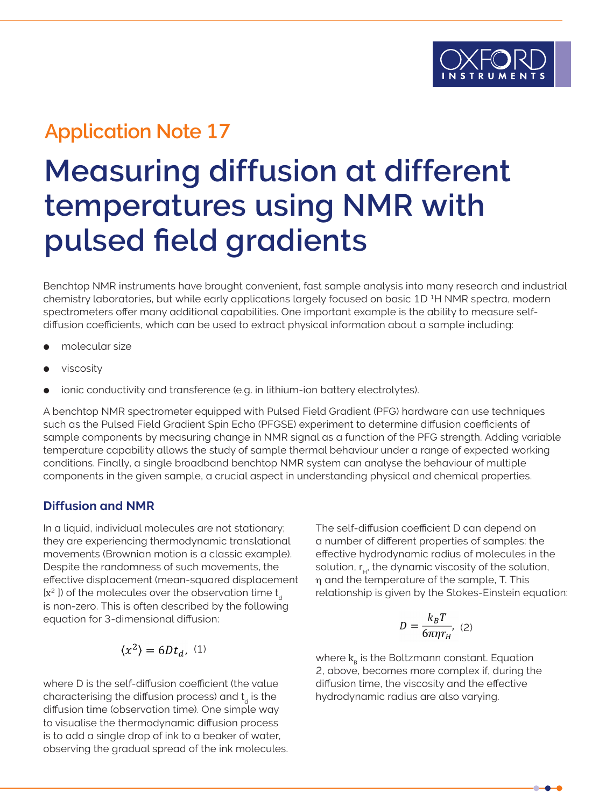## **Application Note 17**

# **Measuring diffusion at different temperatures using NMR with pulsed field gradients**

Benchtop NMR instruments have brought convenient, fast sample analysis into many research and industrial chemistry laboratories, but while early applications largely focused on basic 1D<sup>1</sup>H NMR spectra, modern spectrometers offer many additional capabilities. One important example is the ability to measure selfdiffusion coefficients, which can be used to extract physical information about a sample including:

- molecular size
- viscosity
- ionic conductivity and transference (e.g. in lithium-ion battery electrolytes).

A benchtop NMR spectrometer equipped with Pulsed Field Gradient (PFG) hardware can use techniques such as the Pulsed Field Gradient Spin Echo (PFGSE) experiment to determine diffusion coefficients of sample components by measuring change in NMR signal as a function of the PFG strength. Adding variable temperature capability allows the study of sample thermal behaviour under a range of expected working conditions. Finally, a single broadband benchtop NMR system can analyse the behaviour of multiple components in the given sample, a crucial aspect in understanding physical and chemical properties.

#### **Diffusion and NMR**

In a liquid, individual molecules are not stationary; they are experiencing thermodynamic translational movements (Brownian motion is a classic example). Despite the randomness of such movements, the effective displacement (mean-squared displacement  $[x^2]$ ) of the molecules over the observation time t<sub>d</sub> is non-zero. This is often described by the following equation for 3-dimensional diffusion:

$$
\langle x^2 \rangle = 6 D t_d,\,\, (1)
$$

where D is the self-diffusion coefficient (the value characterising the diffusion process) and  $t_d$  is the diffusion time (observation time). One simple way to visualise the thermodynamic diffusion process is to add a single drop of ink to a beaker of water, observing the gradual spread of the ink molecules. The self-diffusion coefficient D can depend on a number of different properties of samples: the effective hydrodynamic radius of molecules in the solution,  $r_{\text{u}}$ , the dynamic viscosity of the solution, ηη and the temperature of the sample, T. This relationship is given by the Stokes-Einstein equation:

$$
D = \frac{k_B T}{6\pi \eta r_H}, \quad (2)
$$

where  $k_{B}$  is the Boltzmann constant. Equation 2, above, becomes more complex if, during the diffusion time, the viscosity and the effective hydrodynamic radius are also varying.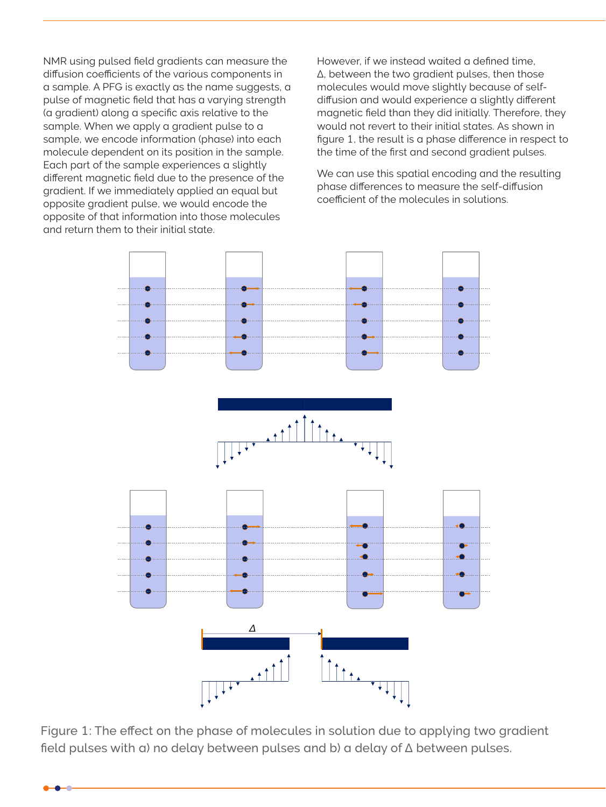NMR using pulsed field gradients can measure the diffusion coefficients of the various components in a sample. A PFG is exactly as the name suggests, a pulse of magnetic field that has a varying strength (a gradient) along a specific axis relative to the sample. When we apply a gradient pulse to a sample, we encode information (phase) into each molecule dependent on its position in the sample. Each part of the sample experiences a slightly different magnetic field due to the presence of the gradient. If we immediately applied an equal but opposite gradient pulse, we would encode the opposite of that information into those molecules and return them to their initial state.

However, if we instead waited a defined time, Δ, between the two gradient pulses, then those molecules would move slightly because of selfdiffusion and would experience a slightly different magnetic field than they did initially. Therefore, they would not revert to their initial states. As shown in figure 1, the result is a phase difference in respect to the time of the first and second gradient pulses.

We can use this spatial encoding and the resulting phase differences to measure the self-diffusion coefficient of the molecules in solutions.



Figure 1: The effect on the phase of molecules in solution due to applying two gradient field pulses with a) no delay between pulses and b) a delay of Δ between pulses.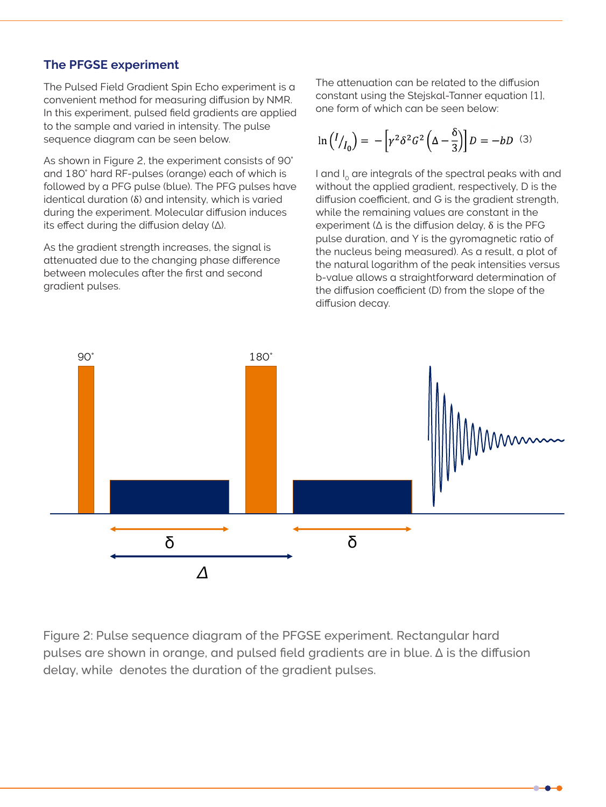#### **The PFGSE experiment**

The Pulsed Field Gradient Spin Echo experiment is a convenient method for measuring diffusion by NMR. In this experiment, pulsed field gradients are applied to the sample and varied in intensity. The pulse sequence diagram can be seen below.

As shown in Figure 2, the experiment consists of 90° and 180° hard RF-pulses (orange) each of which is followed by a PFG pulse (blue). The PFG pulses have identical duration (δ) and intensity, which is varied during the experiment. Molecular diffusion induces its effect during the diffusion delay (Δ).

As the gradient strength increases, the signal is attenuated due to the changing phase difference between molecules after the first and second gradient pulses.

The attenuation can be related to the diffusion constant using the Stejskal-Tanner equation [1], one form of which can be seen below:

$$
\ln(I/I_0) = -\left[\gamma^2 \delta^2 G^2 \left(\Delta - \frac{\delta}{3}\right)\right] D = -bD \quad (3)
$$

I and  $I_0$  are integrals of the spectral peaks with and without the applied gradient, respectively, D is the diffusion coefficient, and G is the gradient strength, while the remaining values are constant in the experiment ( $\Delta$  is the diffusion delay,  $\delta$  is the PFG pulse duration, and Y is the gyromagnetic ratio of the nucleus being measured). As a result, a plot of the natural logarithm of the peak intensities versus b-value allows a straightforward determination of the diffusion coefficient (D) from the slope of the diffusion decay.



Figure 2: Pulse sequence diagram of the PFGSE experiment. Rectangular hard pulses are shown in orange, and pulsed field gradients are in blue. Δ is the diffusion delay, while denotes the duration of the gradient pulses.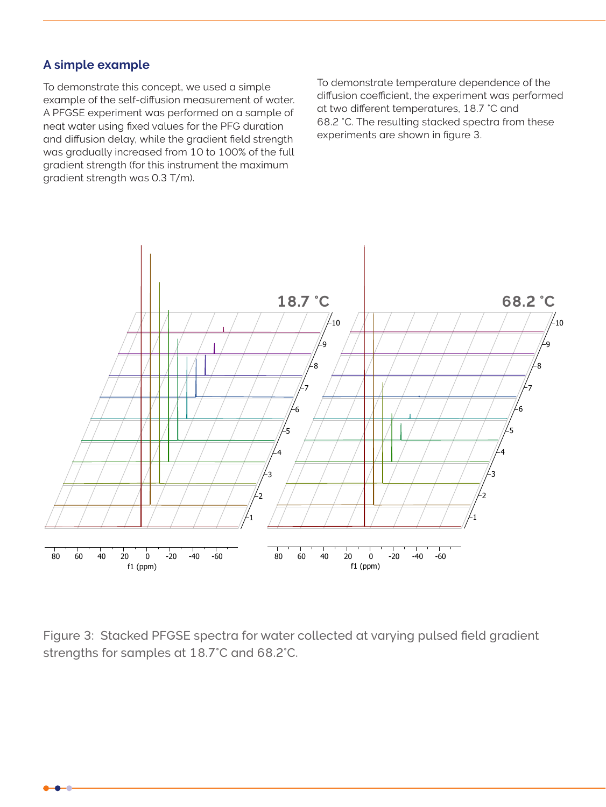#### **A simple example**

To demonstrate this concept, we used a simple example of the self-diffusion measurement of water. A PFGSE experiment was performed on a sample of neat water using fixed values for the PFG duration and diffusion delay, while the gradient field strength was gradually increased from 10 to 100% of the full gradient strength (for this instrument the maximum gradient strength was 0.3 T/m).

To demonstrate temperature dependence of the diffusion coefficient, the experiment was performed at two different temperatures, 18.7 °C and 68.2 °C. The resulting stacked spectra from these experiments are shown in figure 3.



Figure 3: Stacked PFGSE spectra for water collected at varying pulsed field gradient strengths for samples at 18.7°C and 68.2°C.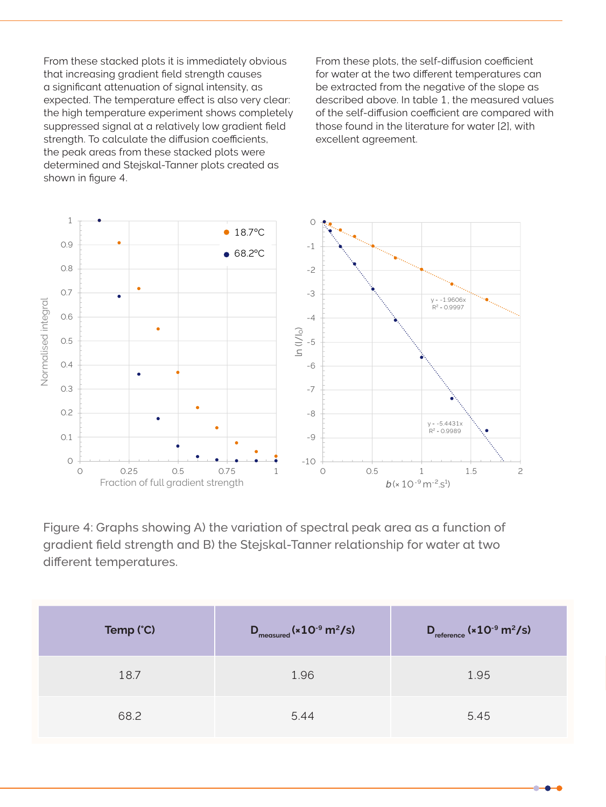From these stacked plots it is immediately obvious that increasing gradient field strength causes a significant attenuation of signal intensity, as expected. The temperature effect is also very clear: the high temperature experiment shows completely suppressed signal at a relatively low gradient field strength. To calculate the diffusion coefficients, the peak areas from these stacked plots were determined and Stejskal-Tanner plots created as shown in figure 4.

From these plots, the self-diffusion coefficient for water at the two different temperatures can be extracted from the negative of the slope as described above. In table 1, the measured values of the self-diffusion coefficient are compared with those found in the literature for water [2], with excellent agreement.



Figure 4: Graphs showing A) the variation of spectral peak area as a function of gradient field strength and B) the Stejskal-Tanner relationship for water at two different temperatures.

| Temp (°C) | $D_{\text{measured}}$ ( $\times$ 10 <sup>-9</sup> m <sup>2</sup> /s) | $D_{reference}$ ( $\times$ 10 <sup>-9</sup> m <sup>2</sup> /s) |
|-----------|----------------------------------------------------------------------|----------------------------------------------------------------|
| 18.7      | 1.96                                                                 | 1.95                                                           |
| 68.2      | 5.44                                                                 | 5.45                                                           |